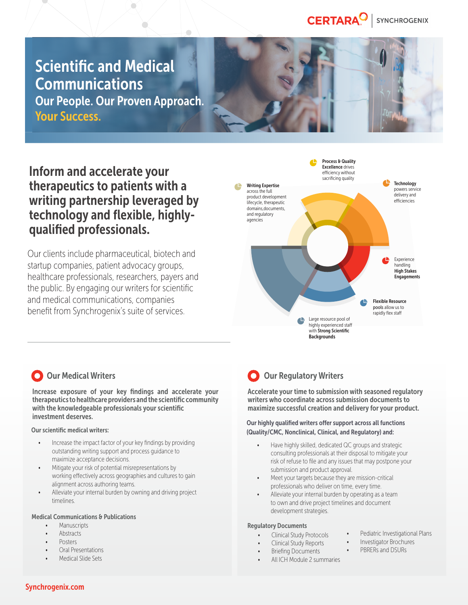#### CERTARA<sup>O</sup> **SYNCHROGENIX**

# **Scientific and Medical** Communications

 $\sum_{i=1}^{n}$ 

 $\sum_{i=1}^{n}$ 

Our People. Our Proven Approach. Your Success.

Inform and accelerate your therapeutics to patients with a writing partnership leveraged by technology and flexible, highlyqualified professionals.

Our clients include pharmaceutical, biotech and startup companies, patient advocacy groups, healthcare professionals, researchers, payers and the public. By engaging our writers for scientific and medical communications, companies benefit from Synchrogenix's suite of services.



## **O** Our Medical Writers

Increase exposure of your key findings and accelerate your therapeutics to healthcare providers and the scientific community with the knowledgeable professionals your scientific investment deserves.

### Our scientific medical writers:

- Increase the impact factor of your key findings by providing outstanding writing support and process guidance to maximize acceptance decisions.
- Mitigate your risk of potential misrepresentations by working effectively across geographies and cultures to gain alignment across authoring teams.
- Alleviate your internal burden by owning and driving project timelines.

### Medical Communications & Publications

- Manuscripts
- Abstracts
- Posters
- Oral Presentations
- Medical Slide Sets

# **O** Our Regulatory Writers

Accelerate your time to submission with seasoned regulatory writers who coordinate across submission documents to maximize successful creation and delivery for your product.

Our highly qualified writers offer support across all functions (Quality/CMC, Nonclinical, Clinical, and Regulatory) and:

- Have highly skilled, dedicated QC groups and strategic consulting professionals at their disposal to mitigate your risk of refuse to file and any issues that may postpone your submission and product approval.
- Meet your targets because they are mission-critical professionals who deliver on time, every time.
- Alleviate your internal burden by operating as a team to own and drive project timelines and document development strategies.

### Regulatory Documents

- Clinical Study Protocols
- Clinical Study Reports
- **Briefing Documents**
- All ICH Module 2 summaries
- Pediatric Investigational Plans
- Investigator Brochures • PBRERs and DSURs

Synchrogenix.com